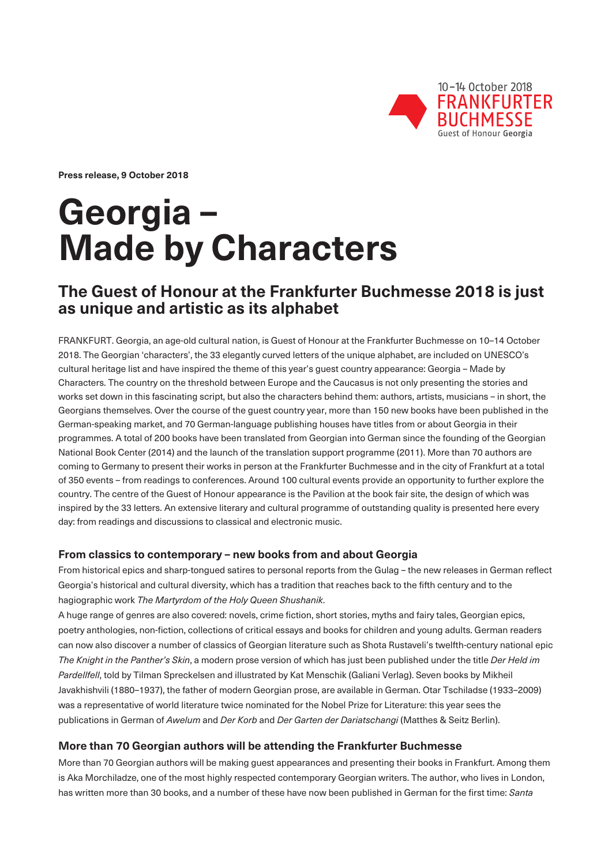

**Press release, 9 October 2018** 

# **Georgia – Made by Characters**

# **The Guest of Honour at the Frankfurter Buchmesse 2018 is just as unique and artistic as its alphabet**

FRANKFURT. Georgia, an age-old cultural nation, is Guest of Honour at the Frankfurter Buchmesse on 10–14 October 2018. The Georgian 'characters', the 33 elegantly curved letters of the unique alphabet, are included on UNESCO's cultural heritage list and have inspired the theme of this year's guest country appearance: Georgia – Made by Characters. The country on the threshold between Europe and the Caucasus is not only presenting the stories and works set down in this fascinating script, but also the characters behind them: authors, artists, musicians – in short, the Georgians themselves. Over the course of the guest country year, more than 150 new books have been published in the German-speaking market, and 70 German-language publishing houses have titles from or about Georgia in their programmes. A total of 200 books have been translated from Georgian into German since the founding of the Georgian National Book Center (2014) and the launch of the translation support programme (2011). More than 70 authors are coming to Germany to present their works in person at the Frankfurter Buchmesse and in the city of Frankfurt at a total of 350 events – from readings to conferences. Around 100 cultural events provide an opportunity to further explore the country. The centre of the Guest of Honour appearance is the Pavilion at the book fair site, the design of which was inspired by the 33 letters. An extensive literary and cultural programme of outstanding quality is presented here every day: from readings and discussions to classical and electronic music.

### **From classics to contemporary – new books from and about Georgia**

From historical epics and sharp-tongued satires to personal reports from the Gulag – the new releases in German reflect Georgia's historical and cultural diversity, which has a tradition that reaches back to the fifth century and to the hagiographic work *The Martyrdom of the Holy Queen Shushanik*.

A huge range of genres are also covered: novels, crime fiction, short stories, myths and fairy tales, Georgian epics, poetry anthologies, non-fiction, collections of critical essays and books for children and young adults. German readers can now also discover a number of classics of Georgian literature such as Shota Rustaveli's twelfth-century national epic *The Knight in the Panther's Skin*, a modern prose version of which has just been published under the title *Der Held im Pardellfell*, told by Tilman Spreckelsen and illustrated by Kat Menschik (Galiani Verlag). Seven books by Mikheil Javakhishvili (1880–1937), the father of modern Georgian prose, are available in German. Otar Tschiladse (1933–2009) was a representative of world literature twice nominated for the Nobel Prize for Literature: this year sees the publications in German of *Awelum* and *Der Korb* and *Der Garten der Dariatschangi* (Matthes & Seitz Berlin).

# **More than 70 Georgian authors will be attending the Frankfurter Buchmesse**

More than 70 Georgian authors will be making guest appearances and presenting their books in Frankfurt. Among them is Aka Morchiladze, one of the most highly respected contemporary Georgian writers. The author, who lives in London, has written more than 30 books, and a number of these have now been published in German for the first time: *Santa*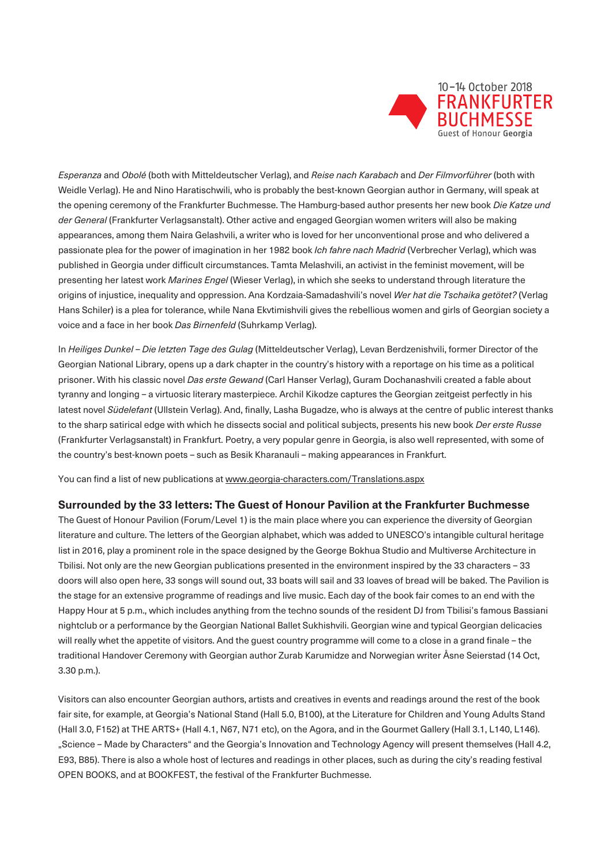

*Esperanza* and *Obolé* (both with Mitteldeutscher Verlag), and *Reise nach Karabach* and *Der Filmvorführer* (both with Weidle Verlag). He and Nino Haratischwili, who is probably the best-known Georgian author in Germany, will speak at the opening ceremony of the Frankfurter Buchmesse. The Hamburg-based author presents her new book *Die Katze und der General* (Frankfurter Verlagsanstalt). Other active and engaged Georgian women writers will also be making appearances, among them Naira Gelashvili, a writer who is loved for her unconventional prose and who delivered a passionate plea for the power of imagination in her 1982 book *Ich fahre nach Madrid* (Verbrecher Verlag), which was published in Georgia under difficult circumstances. Tamta Melashvili, an activist in the feminist movement, will be presenting her latest work *Marines Engel* (Wieser Verlag), in which she seeks to understand through literature the origins of injustice, inequality and oppression. Ana Kordzaia-Samadashvili's novel *Wer hat die Tschaika getötet?* (Verlag Hans Schiler) is a plea for tolerance, while Nana Ekvtimishvili gives the rebellious women and girls of Georgian society a voice and a face in her book *Das Birnenfeld* (Suhrkamp Verlag).

In *Heiliges Dunkel – Die letzten Tage des Gulag* (Mitteldeutscher Verlag), Levan Berdzenishvili, former Director of the Georgian National Library, opens up a dark chapter in the country's history with a reportage on his time as a political prisoner. With his classic novel *Das erste Gewand* (Carl Hanser Verlag), Guram Dochanashvili created a fable about tyranny and longing – a virtuosic literary masterpiece. Archil Kikodze captures the Georgian zeitgeist perfectly in his latest novel *Südelefant* (Ullstein Verlag). And, finally, Lasha Bugadze, who is always at the centre of public interest thanks to the sharp satirical edge with which he dissects social and political subjects, presents his new book *Der erste Russe*  (Frankfurter Verlagsanstalt) in Frankfurt. Poetry, a very popular genre in Georgia, is also well represented, with some of the country's best-known poets – such as Besik Kharanauli – making appearances in Frankfurt.

You can find a list of new publications at www.georgia-characters.com/Translations.aspx

#### **Surrounded by the 33 letters: The Guest of Honour Pavilion at the Frankfurter Buchmesse**

The Guest of Honour Pavilion (Forum/Level 1) is the main place where you can experience the diversity of Georgian literature and culture. The letters of the Georgian alphabet, which was added to UNESCO's intangible cultural heritage list in 2016, play a prominent role in the space designed by the George Bokhua Studio and Multiverse Architecture in Tbilisi. Not only are the new Georgian publications presented in the environment inspired by the 33 characters – 33 doors will also open here, 33 songs will sound out, 33 boats will sail and 33 loaves of bread will be baked. The Pavilion is the stage for an extensive programme of readings and live music. Each day of the book fair comes to an end with the Happy Hour at 5 p.m., which includes anything from the techno sounds of the resident DJ from Tbilisi's famous Bassiani nightclub or a performance by the Georgian National Ballet Sukhishvili. Georgian wine and typical Georgian delicacies will really whet the appetite of visitors. And the quest country programme will come to a close in a grand finale – the traditional Handover Ceremony with Georgian author Zurab Karumidze and Norwegian writer Åsne Seierstad (14 Oct, 3.30 p.m.).

Visitors can also encounter Georgian authors, artists and creatives in events and readings around the rest of the book fair site, for example, at Georgia's National Stand (Hall 5.0, B100), at the Literature for Children and Young Adults Stand (Hall 3.0, F152) at THE ARTS+ (Hall 4.1, N67, N71 etc), on the Agora, and in the Gourmet Gallery (Hall 3.1, L140, L146). "Science – Made by Characters" and the Georgia's Innovation and Technology Agency will present themselves (Hall 4.2, E93, B85). There is also a whole host of lectures and readings in other places, such as during the city's reading festival OPEN BOOKS, and at BOOKFEST, the festival of the Frankfurter Buchmesse.